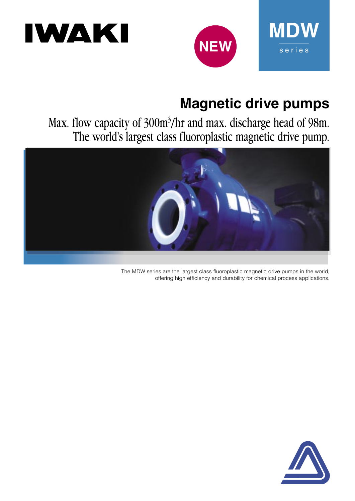# IWAKI



# **Magnetic drive pumps**

**MDW**

s e r i e s

Max. flow capacity of 300m3 /hr and max. discharge head of 98m. The world's largest class fluoroplastic magnetic drive pump.



The MDW series are the largest class fluoroplastic magnetic drive pumps in the world, offering high efficiency and durability for chemical process applications.

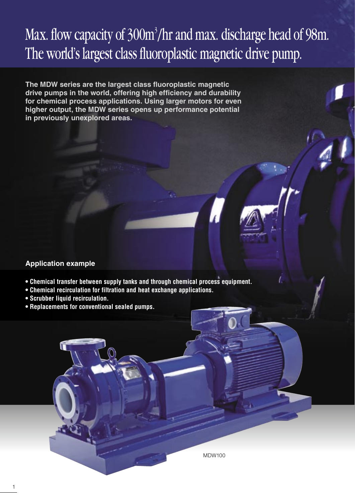# Max. flow capacity of 300m<sup>3</sup>/hr and max. discharge head of 98m. The world's largest class fluoroplastic magnetic drive pump.

The MDW series are the largest class fluoroplastic magnetic drive pumps in the world, offering high efficiency and durability **for chemical process applications. Using larger motors for even higher output, the MDW series opens up performance potential in previously unexplored areas.**

#### **Application example**

- **Chemical transfer between supply tanks and through chemical process equipment.**
- **Chemical recirculation for filtration and heat exchange applications.**
- **Scrubber liquid recirculation.**
- **Replacements for conventional sealed pumps.**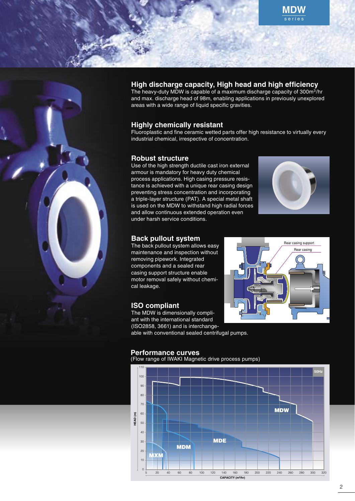



#### High discharge capacity, High head and high efficiency

The heavy-duty MDW is capable of a maximum discharge capacity of 300m<sup>3</sup>/hr and max. discharge head of 98m, enabling applications in previously unexplored areas with a wide range of liquid specific gravities.

#### **Highly chemically resistant**

Fluoroplastic and fine ceramic wetted parts offer high resistance to virtually every industrial chemical, irrespective of concentration.

#### **Robust structure**

Use of the high strength ductile cast iron external armour is mandatory for heavy duty chemical process applications. High casing pressure resistance is achieved with a unique rear casing design preventing stress concentration and incorporating a triple-layer structure (PAT). A special metal shaft is used on the MDW to withstand high radial forces and allow continuous extended operation even under harsh service conditions.



#### **Back pullout system**

The back pullout system allows easy maintenance and inspection without removing pipework. Integrated components and a sealed rear casing support structure enable motor removal safely without chemical leakage.

#### **ISO compliant**

The MDW is dimensionally compliant with the international standard (ISO2858, 3661) and is interchangeable with conventional sealed centrifugal pumps.



### **Performance curves**

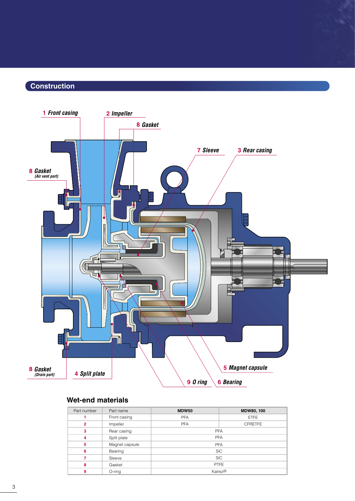### Construction



#### **Wet-end materials**

| Part number    | Part name      | <b>MDW50</b>                 | MDW80, 100 |  |  |  |  |  |
|----------------|----------------|------------------------------|------------|--|--|--|--|--|
|                | Front casing   | <b>PFA</b><br><b>ETFE</b>    |            |  |  |  |  |  |
| $\overline{2}$ | Impeller       | <b>PFA</b><br><b>CFRETFE</b> |            |  |  |  |  |  |
| 3              | Rear casing    | <b>PFA</b>                   |            |  |  |  |  |  |
| 4              | Split plate    |                              | <b>PFA</b> |  |  |  |  |  |
| 5              | Magnet capsule | <b>PFA</b>                   |            |  |  |  |  |  |
| 6              | Bearing        | <b>SiC</b>                   |            |  |  |  |  |  |
|                | Sleeve         | <b>SiC</b>                   |            |  |  |  |  |  |
| 8              | Gasket         | <b>PTFE</b>                  |            |  |  |  |  |  |
| 9              | $O$ -ring      | Kalrez <sup>®</sup>          |            |  |  |  |  |  |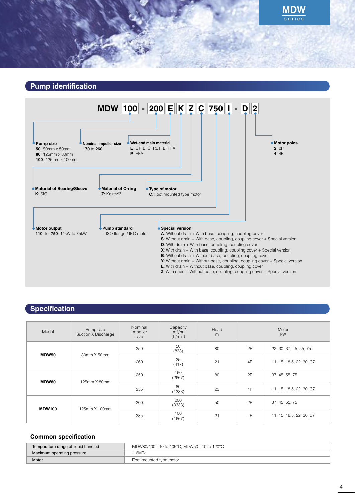



## **Specification**

| Model         | Pump size<br>Suction X Discharge | Nominal<br>Impeller<br>size | Capacity<br>$m^3/hr$<br>(L/min) | Head<br>m | Motor<br>kW |                          |  |
|---------------|----------------------------------|-----------------------------|---------------------------------|-----------|-------------|--------------------------|--|
| <b>MDW50</b>  | 80mm X 50mm                      | 250                         | 50<br>(833)                     | 80        | 2P          | 22, 30, 37, 45, 55, 75   |  |
|               |                                  | 260                         | 25<br>(417)                     | 21        | 4P          | 11, 15, 18.5, 22, 30, 37 |  |
| MDW80         | 125mm X 80mm                     | 250                         | 160<br>(2667)                   | 80        | 2P          | 37, 45, 55, 75           |  |
|               |                                  | 255                         | 80<br>(1333)                    | 23        | 4P          | 11, 15, 18.5, 22, 30, 37 |  |
| <b>MDW100</b> | 125mm X 100mm                    | 200                         | 200<br>(3333)                   | 50        | 2P          | 37, 45, 55, 75           |  |
|               |                                  | 235                         | 100<br>(1667)                   | 21        | 4P          | 11, 15, 18.5, 22, 30, 37 |  |

#### **Common specification**

| Temperature range of liquid handled | MDW80/100: -10 to 105°C, MDW50: -10 to 120°C |  |  |  |
|-------------------------------------|----------------------------------------------|--|--|--|
| Maximum operating pressure          | I 6MPa                                       |  |  |  |
| Motor                               | Foot mounted type motor                      |  |  |  |

**MDW**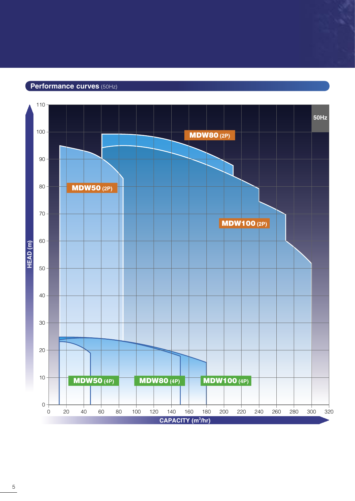#### Performance curves (50Hz)

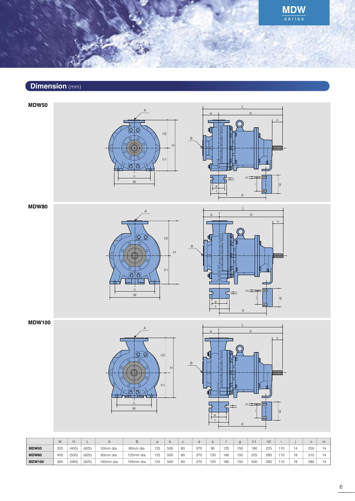**MDW** 

### Dimension (mm)

**MDW50** 

 $h2$  $h<sup>1</sup>$ ਨਾਂਠ W



#### **MDW80**





#### **MDW100**





|               | W          |       |       |            |            | d   |            | v  |     |     |            |     |     | h2  |     |    |     | m |
|---------------|------------|-------|-------|------------|------------|-----|------------|----|-----|-----|------------|-----|-----|-----|-----|----|-----|---|
| <b>MDW50</b>  | 32C        | (405) | (625) | 50mm dia.  | 80mm dia.  | 125 | <b>500</b> | 80 | 370 | 95  | 125        | 150 | 180 | 225 | 11C | 14 | 250 |   |
| <b>MDW80</b>  | 400        | (505) | (625) | 80mm dia.  | 125mm dia. | 125 | 500        | 80 | 370 | 120 | <b>160</b> | 150 | 225 | 280 | 110 | 18 | 315 |   |
| <b>MDW100</b> | <b>360</b> | (480) | (625) | 100mm dia. | 125mm dia. | 125 | 500        | 80 | 370 | 120 | <b>160</b> | 150 | 200 | 280 | 11C | 18 | 280 |   |